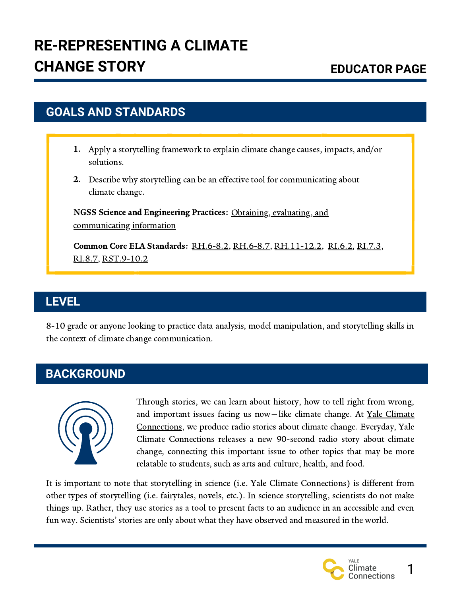## **GOALS AND STANDARDS**

- Apply a storytelling framework to explain climate change causes, impacts, and/or 1. solutions.
- 2. Describe why storytelling can be an effective tool for communicating about climate change.

NGSS Science and Engineering Practices: Obtaining, evaluating, and [communicating](https://ngss.nsta.org/Practices.aspx?id=8) information

Common Core ELA Standards: [RH.6-8.2,](http://www.corestandards.org/ELA-Literacy/RH/6-8/2/) [RH.6-8.7,](http://www.corestandards.org/ELA-Literacy/RH/6-8/7/) [RH.11-12.2](http://www.corestandards.org/ELA-Literacy/RH/11-12/2/), [RI.6.2](http://www.corestandards.org/ELA-Literacy/RI/6/2/), [RI.7.3,](http://www.corestandards.org/ELA-Literacy/RI/7/3/) [RI.8.7,](http://www.corestandards.org/ELA-Literacy/RI/8/7/) [RST.9-10.2](http://www.corestandards.org/ELA-Literacy/RST/9-10/2/)

#### **LEVEL**

8-10 grade or anyone looking to practice data analysis, model manipulation, and storytelling skills in the context of climate change communication.

## **BACKGROUND**



Through stories, we can learn about history, how to tell right from wrong, and important issues facing us now-like climate change. At Yale Climate [Connections,](https://yaleclimateconnections.org/) we produce radio stories about climate change. Everyday, Yale Climate Connections releases a new 90-second radio story about climate change, connecting this important issue to other topics that may be more relatable to students, such as arts and culture, health, and food.

It is important to note that storytelling in science (i.e. Yale Climate Connections) is different from other types of storytelling (i.e. fairytales, novels, etc.). In science storytelling, scientists do not make things up. Rather, they use stories as a tool to present facts to an audience in an accessible and even fun way. Scientists' stories are only about what they have observed and measured in the world.